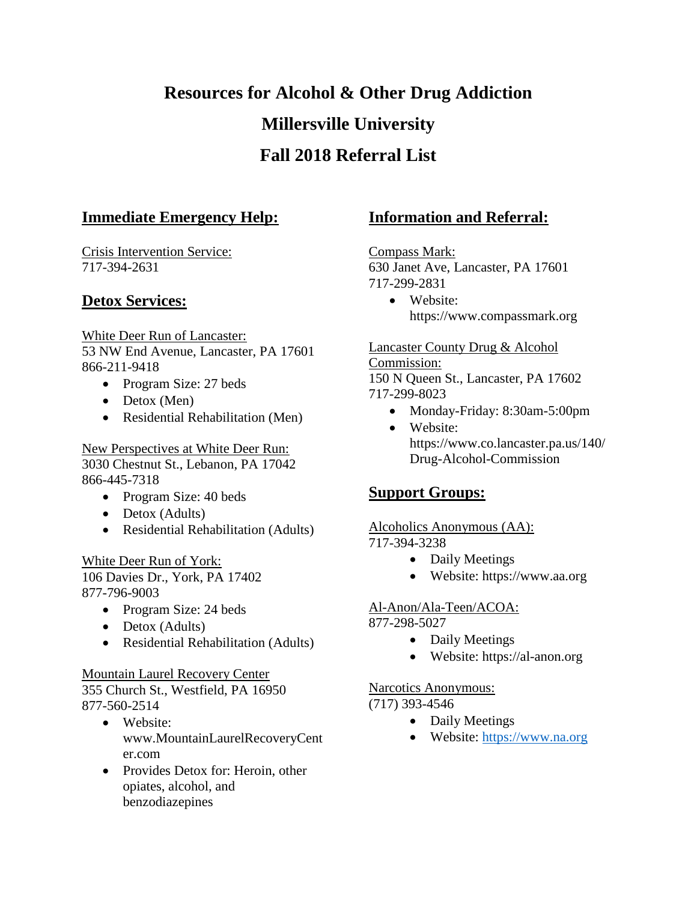# **Resources for Alcohol & Other Drug Addiction Millersville University Fall 2018 Referral List**

# **Immediate Emergency Help:**

Crisis Intervention Service: 717-394-2631

# **Detox Services:**

White Deer Run of Lancaster: 53 NW End Avenue, Lancaster, PA 17601 866-211-9418

- Program Size: 27 beds
- $\bullet$  Detox (Men)
- Residential Rehabilitation (Men)

New Perspectives at White Deer Run: 3030 Chestnut St., Lebanon, PA 17042 866-445-7318

- Program Size: 40 beds
- Detox (Adults)
- Residential Rehabilitation (Adults)

White Deer Run of York: 106 Davies Dr., York, PA 17402 877-796-9003

- Program Size: 24 beds
- Detox (Adults)
- Residential Rehabilitation (Adults)

## Mountain Laurel Recovery Center

355 Church St., Westfield, PA 16950 877-560-2514

- Website: www.MountainLaurelRecoveryCent er.com
- Provides Detox for: Heroin, other opiates, alcohol, and benzodiazepines

# **Information and Referral:**

Compass Mark: 630 Janet Ave, Lancaster, PA 17601 717-299-2831

 Website: https://www.compassmark.org

#### Lancaster County Drug & Alcohol

Commission: 150 N Queen St., Lancaster, PA 17602 717-299-8023

- Monday-Friday: 8:30am-5:00pm
- Website: https://www.co.lancaster.pa.us/140/ Drug-Alcohol-Commission

# **Support Groups:**

# Alcoholics Anonymous (AA):

- 717-394-3238
	- Daily Meetings
	- Website: https://www.aa.org

# Al-Anon/Ala-Teen/ACOA:

877-298-5027

- Daily Meetings
- Website: https://al-anon.org

# Narcotics Anonymous:

## (717) 393-4546

- Daily Meetings
- Website: [https://www.na.org](https://www.na.org/)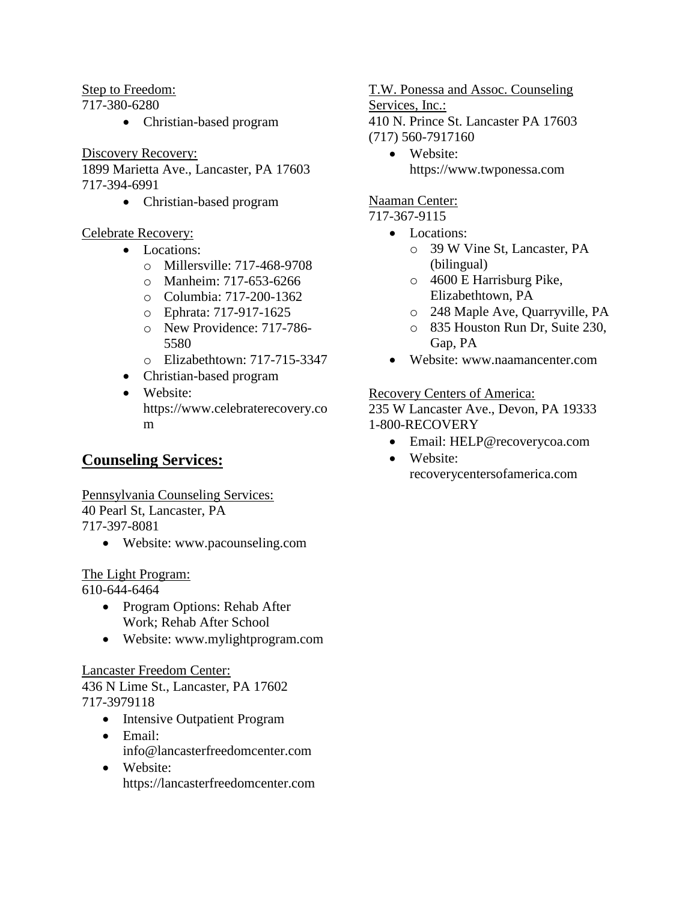Step to Freedom:

717-380-6280

• Christian-based program

Discovery Recovery:

1899 Marietta Ave., Lancaster, PA 17603 717-394-6991

• Christian-based program

## Celebrate Recovery:

- Locations:
	- o Millersville: 717-468-9708
	- o Manheim: 717-653-6266
	- o Columbia: 717-200-1362
	- o Ephrata: 717-917-1625
	- o New Providence: 717-786- 5580
	- o Elizabethtown: 717-715-3347
- Christian-based program
- Website: https://www.celebraterecovery.co m

# **Counseling Services:**

Pennsylvania Counseling Services: 40 Pearl St, Lancaster, PA 717-397-8081

Website: www.pacounseling.com

# The Light Program:

610-644-6464

- Program Options: Rehab After Work; Rehab After School
- Website: www.mylightprogram.com

#### Lancaster Freedom Center:

436 N Lime St., Lancaster, PA 17602 717-3979118

- Intensive Outpatient Program
- Email: info@lancasterfreedomcenter.com
- Website: https://lancasterfreedomcenter.com

T.W. Ponessa and Assoc. Counseling

Services, Inc.:

410 N. Prince St. Lancaster PA 17603 (717) 560-7917160

• Website: https://www.twponessa.com

## Naaman Center:

717-367-9115

- Locations:
	- o 39 W Vine St, Lancaster, PA (bilingual)
	- o 4600 E Harrisburg Pike, Elizabethtown, PA
	- o 248 Maple Ave, Quarryville, PA
	- o 835 Houston Run Dr, Suite 230, Gap, PA
- Website: www.naamancenter.com

## Recovery Centers of America:

235 W Lancaster Ave., Devon, PA 19333 1-800-RECOVERY

- Email: HELP@recoverycoa.com
- Website: recoverycentersofamerica.com